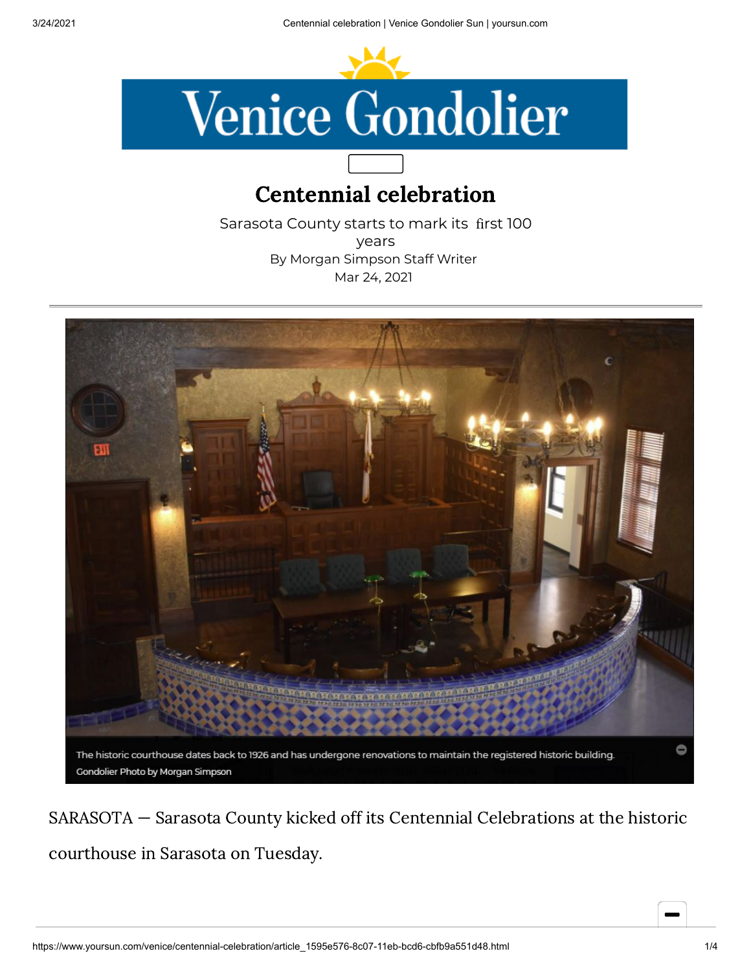

## Centennial celebration

Sarasota County starts to mark its first 100 years By Morgan Simpson Staff Writer Mar 24, 2021



SARASOTA — Sarasota County kicked off its Centennial Celebrations at the historic courthouse in Sarasota on Tuesday.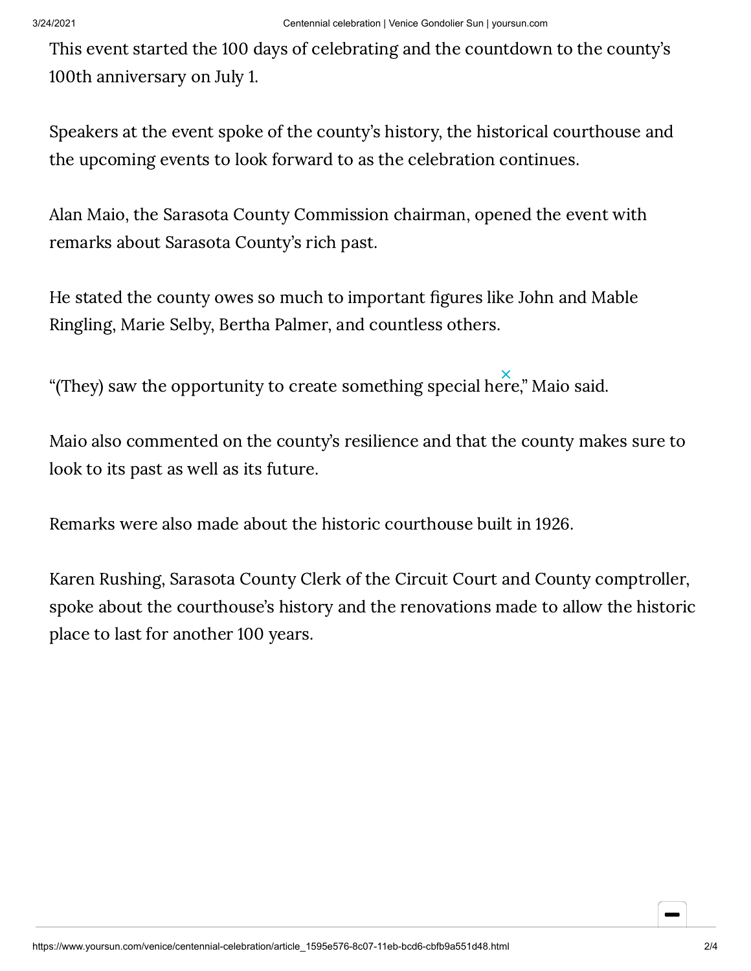This event started the 100 days of celebrating and the countdown to the county's 100th anniversary on July 1.

Speakers at the event spoke of the county's history, the historical courthouse and the upcoming events to look forward to as the celebration continues.

Alan Maio, the Sarasota County Commission chairman, opened the event with remarks about Sarasota County's rich past.

He stated the county owes so much to important figures like John and Mable Ringling, Marie Selby, Bertha Palmer, and countless others.

"(They) saw the opportunity to create something special here," Maio said.

Maio also commented on the county's resilience and that the county makes sure to look to its past as well as its future.

Remarks were also made about the historic courthouse built in 1926.

Karen Rushing, Sarasota County Clerk of the Circuit Court and County comptroller, spoke about the courthouse's history and the renovations made to allow the historic place to last for another 100 years.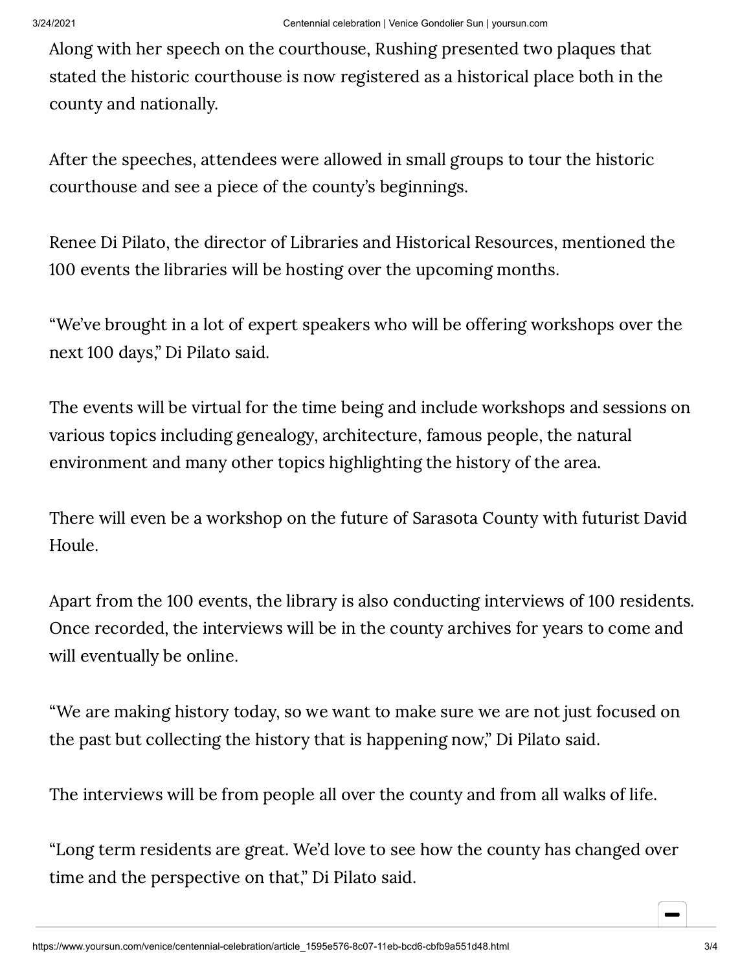Along with her speech on the courthouse, Rushing presented two plaques that stated the historic courthouse is now registered as a historical place both in the county and nationally.

After the speeches, attendees were allowed in small groups to tour the historic courthouse and see a piece of the county's beginnings.

Renee Di Pilato, the director of Libraries and Historical Resources, mentioned the 100 events the libraries will be hosting over the upcoming months.

"We've brought in a lot of expert speakers who will be offering workshops over the next 100 days," Di Pilato said.

The events will be virtual for the time being and include workshops and sessions on various topics including genealogy, architecture, famous people, the natural environment and many other topics highlighting the history of the area.

There will even be a workshop on the future of Sarasota County with futurist David Houle.

Apart from the 100 events, the library is also conducting interviews of 100 residents. Once recorded, the interviews will be in the county archives for years to come and will eventually be online.

"We are making history today, so we want to make sure we are not just focused on the past but collecting the history that is happening now," Di Pilato said.

The interviews will be from people all over the county and from all walks of life.

"Long term residents are great. We'd love to see how the county has changed over time and the perspective on that," Di Pilato said.